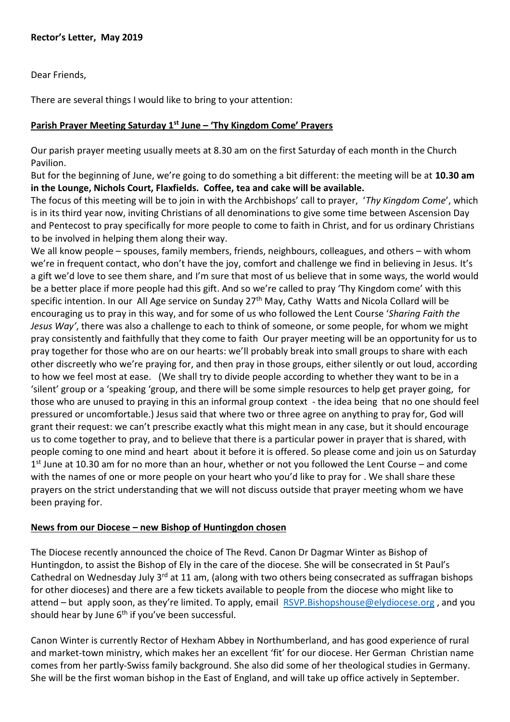Dear Friends,

There are several things I would like to bring to your attention:

## **Parish Prayer Meeting Saturday 1st June – 'Thy Kingdom Come' Prayers**

Our parish prayer meeting usually meets at 8.30 am on the first Saturday of each month in the Church Pavilion.

But for the beginning of June, we're going to do something a bit different: the meeting will be at **10.30 am in the Lounge, Nichols Court, Flaxfields. Coffee, tea and cake will be available.**

The focus of this meeting will be to join in with the Archbishops' call to prayer, '*Thy Kingdom Come*', which is in its third year now, inviting Christians of all denominations to give some time between Ascension Day and Pentecost to pray specifically for more people to come to faith in Christ, and for us ordinary Christians to be involved in helping them along their way.

We all know people – spouses, family members, friends, neighbours, colleagues, and others – with whom we're in frequent contact, who don't have the joy, comfort and challenge we find in believing in Jesus. It's a gift we'd love to see them share, and I'm sure that most of us believe that in some ways, the world would be a better place if more people had this gift. And so we're called to pray 'Thy Kingdom come' with this specific intention. In our All Age service on Sunday 27<sup>th</sup> May, Cathy Watts and Nicola Collard will be encouraging us to pray in this way, and for some of us who followed the Lent Course '*Sharing Faith the Jesus Way'*, there was also a challenge to each to think of someone, or some people, for whom we might pray consistently and faithfully that they come to faith Our prayer meeting will be an opportunity for us to pray together for those who are on our hearts: we'll probably break into small groups to share with each other discreetly who we're praying for, and then pray in those groups, either silently or out loud, according to how we feel most at ease. (We shall try to divide people according to whether they want to be in a 'silent' group or a 'speaking 'group, and there will be some simple resources to help get prayer going, for those who are unused to praying in this an informal group context - the idea being that no one should feel pressured or uncomfortable.) Jesus said that where two or three agree on anything to pray for, God will grant their request: we can't prescribe exactly what this might mean in any case, but it should encourage us to come together to pray, and to believe that there is a particular power in prayer that is shared, with people coming to one mind and heart about it before it is offered. So please come and join us on Saturday 1<sup>st</sup> June at 10.30 am for no more than an hour, whether or not you followed the Lent Course – and come with the names of one or more people on your heart who you'd like to pray for . We shall share these prayers on the strict understanding that we will not discuss outside that prayer meeting whom we have been praying for.

## **News from our Diocese – new Bishop of Huntingdon chosen**

The Diocese recently announced the choice of The Revd. Canon Dr Dagmar Winter as Bishop of Huntingdon, to assist the Bishop of Ely in the care of the diocese. She will be consecrated in St Paul's Cathedral on Wednesday July 3<sup>rd</sup> at 11 am, (along with two others being consecrated as suffragan bishops for other dioceses) and there are a few tickets available to people from the diocese who might like to attend – but apply soon, as they're limited. To apply, email [RSVP.Bishopshouse@elydiocese.org](mailto:RSVP.Bishopshouse@elydiocese.org) , and you should hear by June  $6<sup>th</sup>$  if you've been successful.

Canon Winter is currently Rector of Hexham Abbey in Northumberland, and has good experience of rural and market-town ministry, which makes her an excellent 'fit' for our diocese. Her German Christian name comes from her partly-Swiss family background. She also did some of her theological studies in Germany. She will be the first woman bishop in the East of England, and will take up office actively in September.